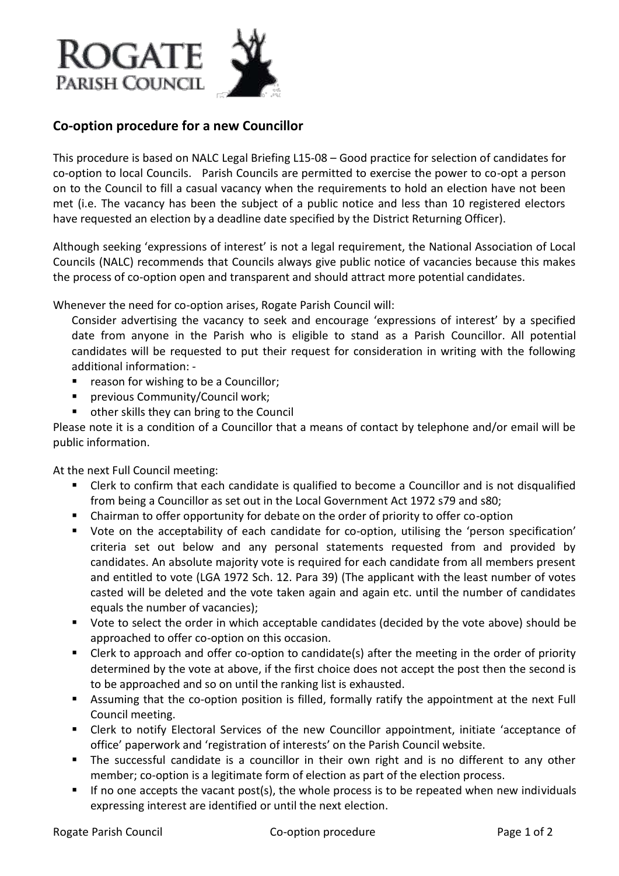

## **Co-option procedure for a new Councillor**

This procedure is based on NALC Legal Briefing L15-08 – Good practice for selection of candidates for co-option to local Councils. Parish Councils are permitted to exercise the power to co-opt a person on to the Council to fill a casual vacancy when the requirements to hold an election have not been met (i.e. The vacancy has been the subject of a public notice and less than 10 registered electors have requested an election by a deadline date specified by the District Returning Officer).

Although seeking 'expressions of interest' is not a legal requirement, the National Association of Local Councils (NALC) recommends that Councils always give public notice of vacancies because this makes the process of co-option open and transparent and should attract more potential candidates.

Whenever the need for co-option arises, Rogate Parish Council will:

Consider advertising the vacancy to seek and encourage 'expressions of interest' by a specified date from anyone in the Parish who is eligible to stand as a Parish Councillor. All potential candidates will be requested to put their request for consideration in writing with the following additional information: -

- reason for wishing to be a Councillor;
- **•** previous Community/Council work;
- other skills they can bring to the Council

Please note it is a condition of a Councillor that a means of contact by telephone and/or email will be public information.

At the next Full Council meeting:

- Clerk to confirm that each candidate is qualified to become a Councillor and is not disqualified from being a Councillor as set out in the Local Government Act 1972 s79 and s80;
- Chairman to offer opportunity for debate on the order of priority to offer co-option
- Vote on the acceptability of each candidate for co-option, utilising the 'person specification' criteria set out below and any personal statements requested from and provided by candidates. An absolute majority vote is required for each candidate from all members present and entitled to vote (LGA 1972 Sch. 12. Para 39) (The applicant with the least number of votes casted will be deleted and the vote taken again and again etc. until the number of candidates equals the number of vacancies);
- Vote to select the order in which acceptable candidates (decided by the vote above) should be approached to offer co-option on this occasion.
- Clerk to approach and offer co-option to candidate(s) after the meeting in the order of priority determined by the vote at above, if the first choice does not accept the post then the second is to be approached and so on until the ranking list is exhausted.
- Assuming that the co-option position is filled, formally ratify the appointment at the next Full Council meeting.
- Clerk to notify Electoral Services of the new Councillor appointment, initiate 'acceptance of office' paperwork and 'registration of interests' on the Parish Council website.
- The successful candidate is a councillor in their own right and is no different to any other member; co-option is a legitimate form of election as part of the election process.
- If no one accepts the vacant post(s), the whole process is to be repeated when new individuals expressing interest are identified or until the next election.